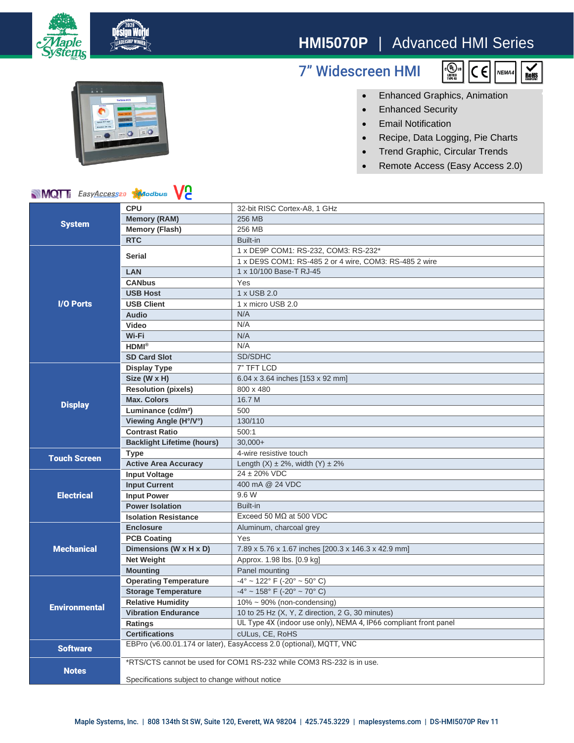

# **HMI5070P** | Advanced HMI Series

## 7" Widescreen HMI





### • Enhanced Graphics, Animation

- Enhanced Security
- Email Notification
- Recipe, Data Logging, Pie Charts
- Trend Graphic, Circular Trends
- Remote Access (Easy Access 2.0)

### **MQT** EasyAccess20 **Algorithus**

| <b>NIVIQI</b> I <i>EasyAccess</i> <sup>20</sup> <i>Modbus</i><br>VC |                                                                      |                                                                  |
|---------------------------------------------------------------------|----------------------------------------------------------------------|------------------------------------------------------------------|
| <b>System</b>                                                       | <b>CPU</b>                                                           | 32-bit RISC Cortex-A8, 1 GHz                                     |
|                                                                     | <b>Memory (RAM)</b>                                                  | 256 MB                                                           |
|                                                                     | <b>Memory (Flash)</b>                                                | 256 MB                                                           |
|                                                                     | <b>RTC</b>                                                           | Built-in                                                         |
| <b>I/O Ports</b>                                                    | <b>Serial</b>                                                        | 1 x DE9P COM1: RS-232, COM3: RS-232*                             |
|                                                                     |                                                                      | 1 x DE9S COM1: RS-485 2 or 4 wire, COM3: RS-485 2 wire           |
|                                                                     | <b>LAN</b>                                                           | 1 x 10/100 Base-T RJ-45                                          |
|                                                                     | <b>CANbus</b>                                                        | Yes                                                              |
|                                                                     | <b>USB Host</b>                                                      | 1 x USB 2.0                                                      |
|                                                                     | <b>USB Client</b>                                                    | 1 x micro USB 2.0                                                |
|                                                                     | Audio                                                                | N/A                                                              |
|                                                                     | Video                                                                | N/A                                                              |
|                                                                     | Wi-Fi                                                                | N/A                                                              |
|                                                                     | $HDMI^{\otimes}$                                                     | N/A                                                              |
|                                                                     | <b>SD Card Slot</b>                                                  | SD/SDHC                                                          |
| <b>Display</b>                                                      | <b>Display Type</b>                                                  | 7" TFT LCD                                                       |
|                                                                     | Size (W x H)                                                         | 6.04 x 3.64 inches [153 x 92 mm]                                 |
|                                                                     | <b>Resolution (pixels)</b>                                           | 800 x 480                                                        |
|                                                                     | <b>Max. Colors</b>                                                   | 16.7 M                                                           |
|                                                                     | Luminance (cd/m <sup>2</sup> )                                       | 500                                                              |
|                                                                     | Viewing Angle (H°/V°)                                                | 130/110                                                          |
|                                                                     | <b>Contrast Ratio</b>                                                | 500:1                                                            |
|                                                                     | <b>Backlight Lifetime (hours)</b>                                    | $30.000+$                                                        |
| <b>Touch Screen</b>                                                 | <b>Type</b>                                                          | 4-wire resistive touch                                           |
|                                                                     | <b>Active Area Accuracy</b>                                          | Length $(X) \pm 2\%$ , width $(Y) \pm 2\%$                       |
| <b>Electrical</b>                                                   | <b>Input Voltage</b>                                                 | $24 \pm 20\%$ VDC                                                |
|                                                                     | <b>Input Current</b>                                                 | 400 mA @ 24 VDC                                                  |
|                                                                     | <b>Input Power</b>                                                   | 9.6 W                                                            |
|                                                                     | <b>Power Isolation</b>                                               | Built-in                                                         |
|                                                                     | <b>Isolation Resistance</b>                                          | Exceed 50 $M\Omega$ at 500 VDC                                   |
| <b>Mechanical</b>                                                   | <b>Enclosure</b>                                                     | Aluminum, charcoal grey                                          |
|                                                                     | <b>PCB Coating</b>                                                   | Yes                                                              |
|                                                                     | Dimensions (W x H x D)                                               | 7.89 x 5.76 x 1.67 inches [200.3 x 146.3 x 42.9 mm]              |
|                                                                     | <b>Net Weight</b>                                                    | Approx. 1.98 lbs. [0.9 kg]                                       |
|                                                                     | <b>Mounting</b>                                                      | Panel mounting                                                   |
| <b>Environmental</b>                                                | <b>Operating Temperature</b>                                         | $-4^{\circ}$ ~ 122° F (-20° ~ 50° C)                             |
|                                                                     | <b>Storage Temperature</b>                                           | $-4^{\circ}$ ~ 158° F (-20° ~ 70° C)                             |
|                                                                     | <b>Relative Humidity</b>                                             | $10\% \sim 90\%$ (non-condensing)                                |
|                                                                     | <b>Vibration Endurance</b>                                           | 10 to 25 Hz (X, Y, Z direction, 2 G, 30 minutes)                 |
|                                                                     | Ratings                                                              | UL Type 4X (indoor use only), NEMA 4, IP66 compliant front panel |
|                                                                     | <b>Certifications</b>                                                | cULus, CE, RoHS                                                  |
| <b>Software</b>                                                     | EBPro (v6.00.01.174 or later), EasyAccess 2.0 (optional), MQTT, VNC  |                                                                  |
|                                                                     | *RTS/CTS cannot be used for COM1 RS-232 while COM3 RS-232 is in use. |                                                                  |
| <b>Notes</b>                                                        |                                                                      |                                                                  |
|                                                                     | Specifications subject to change without notice                      |                                                                  |